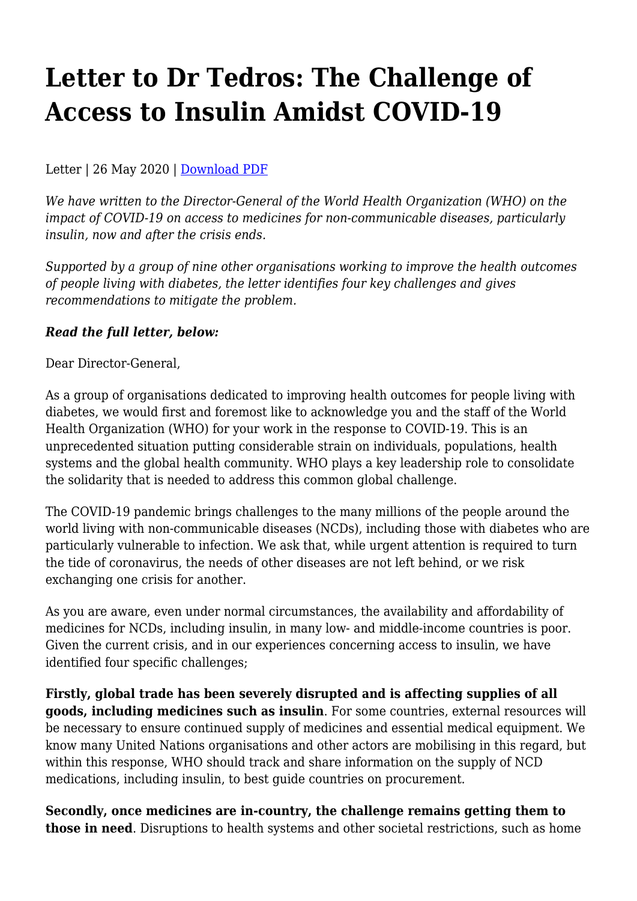## **Letter to Dr Tedros: The Challenge of Access to Insulin Amidst COVID-19**

Letter | 26 May 2020 | [Download PDF](https://haiweb.org/wp-content/uploads/2020/05/NCD_Insulin_Letter_May2020.pdf)

*We have written to the Director-General of the World Health Organization (WHO) on the impact of COVID-19 on access to medicines for non-communicable diseases, particularly insulin, now and after the crisis ends.*

*Supported by a group of nine other organisations working to improve the health outcomes of people living with diabetes, the letter identifies four key challenges and gives recommendations to mitigate the problem.*

## *Read the full letter, below:*

Dear Director-General,

As a group of organisations dedicated to improving health outcomes for people living with diabetes, we would first and foremost like to acknowledge you and the staff of the World Health Organization (WHO) for your work in the response to COVID-19. This is an unprecedented situation putting considerable strain on individuals, populations, health systems and the global health community. WHO plays a key leadership role to consolidate the solidarity that is needed to address this common global challenge.

The COVID-19 pandemic brings challenges to the many millions of the people around the world living with non-communicable diseases (NCDs), including those with diabetes who are particularly vulnerable to infection. We ask that, while urgent attention is required to turn the tide of coronavirus, the needs of other diseases are not left behind, or we risk exchanging one crisis for another.

As you are aware, even under normal circumstances, the availability and affordability of medicines for NCDs, including insulin, in many low- and middle-income countries is poor. Given the current crisis, and in our experiences concerning access to insulin, we have identified four specific challenges;

**Firstly, global trade has been severely disrupted and is affecting supplies of all goods, including medicines such as insulin**. For some countries, external resources will be necessary to ensure continued supply of medicines and essential medical equipment. We know many United Nations organisations and other actors are mobilising in this regard, but within this response, WHO should track and share information on the supply of NCD medications, including insulin, to best guide countries on procurement.

**Secondly, once medicines are in-country, the challenge remains getting them to those in need**. Disruptions to health systems and other societal restrictions, such as home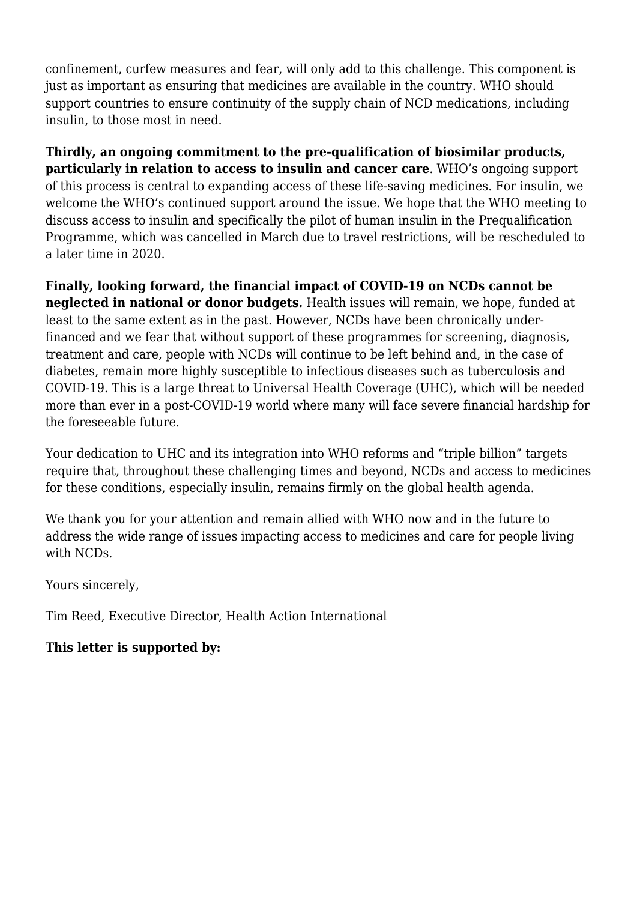confinement, curfew measures and fear, will only add to this challenge. This component is just as important as ensuring that medicines are available in the country. WHO should support countries to ensure continuity of the supply chain of NCD medications, including insulin, to those most in need.

**Thirdly, an ongoing commitment to the pre-qualification of biosimilar products, particularly in relation to access to insulin and cancer care**. WHO's ongoing support of this process is central to expanding access of these life-saving medicines. For insulin, we welcome the WHO's continued support around the issue. We hope that the WHO meeting to discuss access to insulin and specifically the pilot of human insulin in the Prequalification Programme, which was cancelled in March due to travel restrictions, will be rescheduled to a later time in 2020.

**Finally, looking forward, the financial impact of COVID-19 on NCDs cannot be neglected in national or donor budgets.** Health issues will remain, we hope, funded at least to the same extent as in the past. However, NCDs have been chronically underfinanced and we fear that without support of these programmes for screening, diagnosis, treatment and care, people with NCDs will continue to be left behind and, in the case of diabetes, remain more highly susceptible to infectious diseases such as tuberculosis and COVID-19. This is a large threat to Universal Health Coverage (UHC), which will be needed more than ever in a post-COVID-19 world where many will face severe financial hardship for the foreseeable future.

Your dedication to UHC and its integration into WHO reforms and "triple billion" targets require that, throughout these challenging times and beyond, NCDs and access to medicines for these conditions, especially insulin, remains firmly on the global health agenda.

We thank you for your attention and remain allied with WHO now and in the future to address the wide range of issues impacting access to medicines and care for people living with NCDs.

Yours sincerely,

Tim Reed, Executive Director, Health Action International

## **This letter is supported by:**